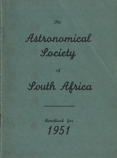The

*/LáJMmotfiLcat*

# Lociety

 $\alpha$ 

*ýtoutfi ApUca*

*HanMcw-(í \$oA 1951*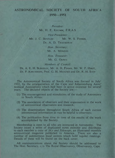## ASTRONOMICAL SOCIETY OF SOUTH AFRICA 1950— 1951

*President:* Mr. H. E. KRUMM, F.R.A.S. *Vice-Presidents:*

Mr. J. C. BENTLEY Mr. W. S. FINSEN,

Dr. A. D. Thackeray

*Hon. Secretary:* Mr. A. Menzies

*Hon. Treasurer:* Mr. G. ORPEN

*Members of Council:* 

Dr. A. E. H. Bleksley, Mr. A. H. Finnis, Mr. W. P. Hirst, Dr. P. K irchhoff, Prof. G. H. Menzies and Dr. R. H. Stoy

The Astronomical Society of South Africa was formed in July' 1922, by the amalgamation of the Cape and Johannesburg Astro<sup>-</sup> nomical Associations which had been in active existence for several years. The declared objects of the Society are:—

- (1) The encouragement and stimulation of the study of Astronomy in South Africa:
- (2) The association of observers and their organisation in the work of astronomical observation and research;
- (3) The dissemination throughout South Africa of such current astronomical information as may be helpful to observers;
- (4) The publication from time to time of the results of the work accomplished by the Society.

Membership is open to all who are interested in Astronomy. The Society issues a series of duplicated notes monthly and distributes to each member a copy of *Sky and Telescope,* an illustrated monthly astronomical magazine published in America. There are also a number of autonomous local centres which hold regular meetings. Details of these will be found on the back cover.

All communications about the Society should be addressed to The Hon. Secretary, c/o The Royal Observatory, Observatory, Cape.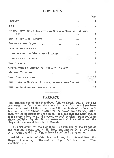#### **CONTENTS**

*Page*

!

| PREFACE                                                  |  |                              |      | فتوارث ووقات المتوارث فتورث المتوارث المتوارث ومتراث المتوارث |                        |                                       | 1              |
|----------------------------------------------------------|--|------------------------------|------|---------------------------------------------------------------|------------------------|---------------------------------------|----------------|
| TIME                                                     |  |                              |      | المحمد المتوقف المحمد المتوارث ومعاري وللمراد المحمد المتعارف |                        |                                       | $\overline{2}$ |
| JULIAN DATE, SUN'S TRANSIT AND SIDEREAL TIME AT 0 H. AND |  |                              |      |                                                               |                        |                                       |                |
| $18 H.$                                                  |  |                              |      |                                                               |                        |                                       | 4              |
| SUN, MOON AND PLANETS                                    |  |                              |      |                                                               |                        |                                       | 5              |
| PHASES OF THE MOON                                       |  |                              |      |                                                               |                        |                                       | 5              |
| PERIGEE AND APOGEE                                       |  |                              |      |                                                               |                        |                                       | 6              |
| CONJUNCTIONS OF MOON AND PLANETS                         |  |                              |      | <b>Contract Contract Contract</b>                             | <b>Sales Contracts</b> | $\overline{a}$                        | 6              |
| LUNAR OCCULTATIONS                                       |  |                              |      |                                                               |                        | $\ddot{\phantom{a}}$                  | $\overline{7}$ |
| THE PLANETS                                              |  |                              |      | المنافعة التفقيل المقفات المعاري فتقارب والمقدار              |                        | $\cdots$                              | $-8$           |
| GEOCENTRIC LONGITUDE OF SUN AND PLANETS                  |  |                              |      |                                                               |                        |                                       | 10             |
| <b>METEOR CALENDAR</b>                                   |  | and the contract of the con- | 1.11 | <b>Contract Contract</b>                                      | $\cdots$               |                                       | П              |
| The Constellations                                       |  |                              |      |                                                               | asset in               | $\therefore$ $^{\circ}$ $^{\circ}$ 12 |                |
| The Stars in Summer, Autumn, Winter and Spring           |  |                              |      |                                                               |                        |                                       | 14             |
| The South African Observatories                          |  |                              |      | $\cdots$ $\cdots$ $\cdots$ $\cdots$                           |                        | $\cdots$                              | 16             |

### **PREFACE**

<span id="page-2-0"></span>THE arrangement of this Handbook follows closely that of the past few years. A few minor alterations in the explanations have been made as a result of letters received and the emphasis of the handbook has been slightly altered to cater for the naked eye observer, rather than for the possessor of a telescope. It is felt that the latter should make every effort to acquire access to such excellent Handbooks as those published by the British Astronomical Association and the Royal Astronomical Society of Canada.

The chief credit for the Handbook is again due to the Editor of the Monthly Notes, Dr. R. H. Stoy, but Messrs. R. P. de Kock, A. J. Moran and S. C. Venter have helped in its preparation.

Additional copies of this Handbook may be obtained from the Royal Observatory, Observatory, Cape. Members 1/-; Nonmembers I /6.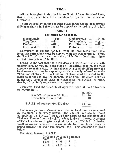#### <span id="page-3-0"></span>TIME

All the times given in this booklet are South African Standard Time, that is, mean solar time for a meridian 30° (or two hours) east of Greenwich.

To get the local mean time at other places in the Union the longitude difference shown in Table I must be applied to the ordinary S.A.S.T.

#### TABLE I

#### Correction for Longitude.

| Bloemfontcin | $\overline{1}$ | $-15$ m.     | Grahamstown    | $-14$ m. |
|--------------|----------------|--------------|----------------|----------|
| Cape Town    | $\cdots$       | $-46$        | Johannesburg   | $-08$    |
| Durban       |                | $\cdots +04$ | Port Elizabeth | $-18$    |
| East London  |                | $-08$        | Pretoria $-07$ |          |

Conversely, to get the S.A.S.T. from the local mean time these longitude corrections must be applied with the sign reversed. Thus, the S.A.S.T. of local mean noon (i.e., 12 h. 00 m. local mean time) at Port Elizabeth is 12 h. 18 m.

Owing to the fact that the earth does not go round the sun with uniform circular motion in the plane of the earth's equator, the local apparent solar time (i.e., the time shown by a sundial) differs from the local mean solar time by a quantity which is usually referred to as the "Equation of Time." The Equation of Time must be added to the mean solar time to give the apparent solar time. Its effect is shown in the third column of Table II which gives the S.A.S.T. of noon, that is, of the Sun's transit over the meridian.

*Example:* Find the S.A.S.T. of apparent noon at Port Elizabeth on November 1.

| $S.A.S.T.$ of noon at $30^\circ$ E<br>Correction for longitude | $\sim$<br>a sua- | ħЕ    | hr. min.<br>44<br>18 |  |
|----------------------------------------------------------------|------------------|-------|----------------------|--|
| S.A.S.T. of noon at Port Elizabeth                             |                  | $12-$ | -02                  |  |

For many purposes *sidereal time,* that is, local time as measured by the stars, is extremely useful. The sidereal time can be found by applying the S.A.S.T. (on a 24-hour basis) to the corresponding "Sidereal Time at 0 hours S.A.S.T." which is given in the fourth column of Table II and correcting for longitude by means of Table I. A further small correction is needed to allow for the four minute difference in length between the solar and sidereal day. This correction is given below.

For times between S.A.S.T.—

03.00 and 09.00 add I minute

| 09.00 | 65  | 15.00 | $\ddot{\phantom{0}}$ | 2 | <b>V</b> |
|-------|-----|-------|----------------------|---|----------|
| 15.00 | ,,  | 21.00 | $\bullet$            | 3 | ,,       |
| 21.00 | s s | 23.59 | e e                  | 4 | 58       |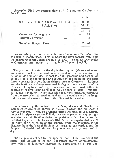*Example:* Find the sidereal time at 8.15 p.m. on October 4 a Port Elizabeth.

|                                          |  |              |    | hr. min. |
|------------------------------------------|--|--------------|----|----------|
| Sid. time at 00.00 S.A.S.T. on October 4 |  | $\mathbf{r}$ | 00 | 48       |
| S.A.S. Time                              |  | $\sim$       | 20 | 15       |
|                                          |  |              | 21 | 03       |
| Correction for longitude                 |  | tra e        |    | 18       |
| Interval Correction                      |  |              |    |          |
| <b>Required Sidereal Time</b>            |  |              |    | 40       |

For recording the time of variable star observations, the *Julian Day* calendar is usually used. This numbers the days consecutively from the beginning of the Julian Era in 4713 B.C. The Julian Day begins at Greenwich mean noon, that is, at 14.00 (2 p.m.) S.A.S.T.

The position of a star in the sky is fixed by its *right ascension* and *declination*, much as the position of a point on the earth is fixed by its longitude and latitude. In fact the right ascension and declination of any star is the longitude and latitude of the point on the earth directly beneath it at zero hours sidereal time at Greenwich. Latitude and declination are always measured in degrees north or south of the equator. Longitude and right ascension are measured either in degrees or in time, 360° being equal to 24 hours (1° equal 4 minutes; 15' equals l minute). Right ascension is always measured eastwards from the zero celestial meridian, and so is the equivalent of the longitude measured eastwards from the Greenwich meridian.

For considering the motions of the Sun, Moon and Planets, the system of co-ordinates known as *celestial latitude* and *longitude* is very convenient. These co-ordinates define the position of a celestial body with reference to the Ecliptic in exactly the same way as right ascension and declination define its position with reference to the Celestial Equator. The (celestial) latitude is the angular distance of the body north or south of the ecliptic, while the longitude is the distance from the Vernal Equinox as measured eastwards along the Ecliptic. Celestial latitude and longitude are usually measured in degrees.

The Ecliptic is defined by the apparent path of the sun about the earth. The latitude of the sun is therefore always (approximately) zero, whilst its longitude increases by approximately 1° per day.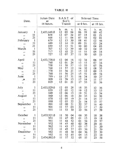Julian Date S.A.S.T. of Sidereal Time Date. Sun's at 14 hours. Transit at 0 hrs.  $\vert$  at 18 hrs. h. m. s. h. m. h. m. January 1 2,433,648.0 12 03 04 06 39 00 42  $11$  658 12 07 32 07 18 01 21  $51$ 21 668 12 11 04 07 58 02 01  $\overline{1}$ February 1 679 12 13 30 08 41 02 44 11 689 12 14 19 09 21 03 24 55 21 699 12 13 51 10 00 04 03 J» March  $1 \quad 707 \quad 12 \quad 12 \quad 39 \quad 10 \quad 32 \quad 04 \quad 35$ 11 717 12 10 25 II 11 05 14 ú »\* 21 727 12 07 37 11 50 05 53 April 1 2,433,738,0 12 04 16 12 34 06 37 11 748 12 01 24 13 13 07 16 w 21 758 11 58 57 13 53 07 56 si. May 1 768 11 57 12 14 32 08 35 11 778 11 56 21 15 12 09 15 33 21 788 11 56 25 15 51 09 54  $\ddot{\phantom{1}}$ June 1 799 ■; 11 57 31 16 34 10 37 11 809 11 59 15 17 14 11 17 819 12 *i* 21 819 01 21 17 53 11 56 July 1 2,433,829.0 12 03 28 18 33 12 36<br>11 839 12 05 12 19 12 13 15 11 839 12 05 12 19 12 13 15  $\overline{\phantom{a}}$ 21 849 12 06 13 19 51 13 54 š. August 1 860 12 06 18 20 35 14 38 **,,** 11 870 12 05 19 21 14 15 17 21 880 12 03 22 21 54 15 57 ֓. September 1 891 12 00 21 22 37 16 40 11 901 11 57 03 23 17 17 20  $\rightarrow$  $\begin{array}{|c|c|c|c|c|c|c|c|c|} \hline \end{array}$  21 911 11 53 30 23 56 17 59 October 1 2,433,921.0 11 50 04 00 35 18 38 11 931 11 47 05 01 15 19 18 ää, 21 941 11 44 52 01 54 19 57 November 1 941 11 44 52 01 54 19 57<br>1 952 11 43 40 02 38 20 41<br>1 962 11 43 57 03 17 21 20 II 962 11 43 57 03 17 21 20  $\ddot{\phantom{a}}$ 21 972 11 45 37 03 56 21 59 » » December 1 982 11 48 38 04 36 22 39 *i*, 11 992 11 52 45 05 15 23 18 *i*, 21 2,434,002.0 11 57 32 05 55 23 58

TABLE II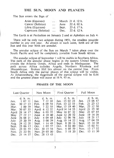## THE SUN, MOON AND PLANETS

The Sun enters the Sign of

| Aries (Equinox)      | 111      |       | March 21 d. 12 h. |
|----------------------|----------|-------|-------------------|
| Cancer (Solstice)    | 1.11     | June  | 22 d. 02 h.       |
| Libra (Equinox)      | $\cdots$ | Sept. | 23 d. 17 h.       |
| Capricorn (Solstice) | 1.1      | Dec.  | 22 d. 12 h.       |

The Earth is at Perihelion on January 2 and at Aphelion on July 4.

There will be only two eclipses during 1951, the smallest possible number in any one year. As always in such cases, both are of the Sun and this year both are annular.

The annular eclipse of the Sun on March 7 takes place over the South Pacific and will be completely invisible from South Africa.

The annular eclipse of September 1 will be visible in Southern Africa. The path of the annular phase begins in the eastern United States, crosses the Atlantic Ocean, Africa and ends in Madagascar. The path across Africa includes Angola, Northern Rhodesia and Mocambique. Broken Hill lies almost on the central line. From South Africa only the partial phases of this eclipse will be visible. At Johannesburg, the magnitude of the partial eclipse will be 0.64 and the greatest phase will occur at 16 h. 45 m.

|                                                                                                       | Last Ouarter                                                                                                                                                             | New Moon                                                                                                                                                                                                                                                                       | <b>First Quarter</b>                                                                                                                                                                                                                 | Full Moon                                                                                                                                                                                                                                                                                                        |
|-------------------------------------------------------------------------------------------------------|--------------------------------------------------------------------------------------------------------------------------------------------------------------------------|--------------------------------------------------------------------------------------------------------------------------------------------------------------------------------------------------------------------------------------------------------------------------------|--------------------------------------------------------------------------------------------------------------------------------------------------------------------------------------------------------------------------------------|------------------------------------------------------------------------------------------------------------------------------------------------------------------------------------------------------------------------------------------------------------------------------------------------------------------|
| Jan.<br>Jan.<br>Mar.<br>Mar.<br>April<br>May<br>June<br>July<br>Aug.<br>Sept.<br>Oct.<br>Nov.<br>Dec. | d. h. m.<br>1 07 11<br>30 17 13<br>1 00 59<br>30 07 35<br>28 14<br>-17<br>27 22<br>-17<br>26 08 21<br>25 20 59<br>24 12 20<br>23 06 13<br>23 01 55<br>21 22 01<br>211637 | d. h. m.<br>7 22 10<br>Jan.<br>6 09 54<br>Feb.<br>7 22 50<br>Mar.<br>6 12 52<br>April<br>6 03 35<br>May<br>4 18 40<br>June<br>09 48<br>July <sub>1</sub><br>4<br>3 00 39<br>Aug.<br>11449<br>Sept.<br>03 57<br>Oct.<br>L<br>30 15 54<br>Oct.<br>Nov. 29 03 00<br>Dec. 28 13 43 | d. h. m.<br>Jan. 15 02 23<br>Feb. 13 22 55<br>Mar. 15 19 40<br>April 14 14 55<br>May 14 07 32<br>June 12 20 52<br>12,06,56<br>July<br>Aug. 10 14 22<br>8 20 16<br>Sept.<br>8 02 00<br>Oct.<br>08 59<br>6.<br>Nov.<br>5 18 20<br>Dcc. | d. h. m.<br>23<br>06 47<br>Jan.<br>-23<br>-12<br>Feb.<br>21<br>12 50<br>23<br>Mar.<br>23 30<br>April<br>21<br>45<br>07<br>May<br>21<br>14 36<br>19<br>June<br>-17<br>July<br>18<br>21<br>04 59<br>17.<br>Aug.<br>14 38<br>15.<br>Sept.<br>02 51<br>15<br>Oct.<br>-52<br>IZ.<br>13<br>Nov.<br>11 30<br>13<br>Dec. |

PHASES OF THE MOON

5

i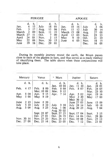| <b>PERIGEE</b>                                         |                                           |                                        |                                                       |                                 |                                                   | <b>APOGEE</b>                                 |                                      |                                        |                                                       |                                        |                                              |  |
|--------------------------------------------------------|-------------------------------------------|----------------------------------------|-------------------------------------------------------|---------------------------------|---------------------------------------------------|-----------------------------------------------|--------------------------------------|----------------------------------------|-------------------------------------------------------|----------------------------------------|----------------------------------------------|--|
| Jan.<br>Feb.<br>March<br>March<br>April<br>May<br>June | d.<br>6<br>3<br>2<br>27<br>24<br>22<br>19 | h.<br>15<br>09<br>11<br>01<br>06<br>16 | July<br>Aug.<br>Sept.<br>Oct.<br>Nov.<br>Nov.<br>Dec. | d.<br>18<br>15<br>2<br>30<br>29 | h.<br>$_{01}$<br>06<br>22<br>09<br>15<br>15<br>01 | Jan.<br>Feb.<br>March<br>April<br>May<br>June | d.<br>18<br>15<br>15<br>12<br>9<br>6 | h.<br>16<br>12<br>08<br>03<br>19<br>03 | July<br>July<br>Aug.<br>Sept.<br>Oct.<br>Nov.<br>Dec. | đ.<br>30<br>27<br>23<br>21<br>18<br>16 | h.<br>06<br>14<br>05<br>23<br>19<br>15<br>05 |  |

During its monthly journey round the earth, the Moon passes close to each of the planets in turn, and thus serves as a ready method of identifying them. The table shows when these conjunctions will take place.

|      | Mercury    | Venus                       | * Mars                        | Jupiter                    | Saturn                         |    |
|------|------------|-----------------------------|-------------------------------|----------------------------|--------------------------------|----|
|      | d. h.      | d. h.                       | d. h.<br>10 04<br>Jan.        | d. h.<br>11<br>-10<br>Jan. | d. h.<br>28 01<br>Jan.         |    |
| Feb. | 4 17       | Feb.<br>8 0 0<br>Mar. 10 08 | Feb.<br>8 0 8<br>Mar.<br>9 12 | 8 0 7<br>Feb.              | Feb.<br>24<br>Mar.<br>23 10    | 05 |
| Apr. | 8 04       | 915<br>Apr.                 | 7 14<br>Apr.                  | Арг. 5 02                  | 19 16<br>Apr.                  |    |
| May  | 5 00       | 9 19<br>Mav                 |                               | May $2\,20$<br>May 30 12   | 1700<br>May                    |    |
| June | 2 2 3      | 8 20<br>June                |                               | June 27 03                 | 13 09<br>June                  |    |
| July | 5 10       | July<br>8 10                | July $310$                    | July 24 14                 | July<br>1018                   |    |
| Aug. | 5 09       | 5 23<br>Aug.                | Aug. 1 06<br>Aug. 30 02       | Aug. 20 23                 | 7 04<br>Aug.                   |    |
|      |            | Sept. 28 07<br>Oct. 27 01   | Sept. 27 23<br>Oct. 26 19     | Sept. 17 04<br>Oct. 14 06  | Sept.<br>3 15<br>28 20<br>Oct. |    |
|      | Nov. 30 16 | Nov. 25 20                  | Nov. 24 13                    | Nov. 10 08                 | Nov.<br>25 12                  |    |
|      | Dec. 27 08 | Dec. 25 16                  | Dec. 23 05                    | 7 12<br>Dec.               | Dec.<br>23                     | 01 |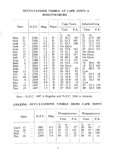|                                                                                                                                        | Date                                                                                                     | N.Z.C.                                                                                                                               |                                                                                                                     | Phase                                                                                  |                                                                                                           | Cape Town                                                                                                                                       |                                                                                                               |                                                                                                 | Johannesburg                                                                                                                           |                                                                                    |
|----------------------------------------------------------------------------------------------------------------------------------------|----------------------------------------------------------------------------------------------------------|--------------------------------------------------------------------------------------------------------------------------------------|---------------------------------------------------------------------------------------------------------------------|----------------------------------------------------------------------------------------|-----------------------------------------------------------------------------------------------------------|-------------------------------------------------------------------------------------------------------------------------------------------------|---------------------------------------------------------------------------------------------------------------|-------------------------------------------------------------------------------------------------|----------------------------------------------------------------------------------------------------------------------------------------|------------------------------------------------------------------------------------|
|                                                                                                                                        |                                                                                                          |                                                                                                                                      | Mag.                                                                                                                |                                                                                        |                                                                                                           | Time                                                                                                                                            | P.A.                                                                                                          | Time                                                                                            |                                                                                                                                        | P.A.                                                                               |
| May<br>May<br>June<br>June<br>June<br>July<br>July<br>July<br>Aug.<br>Sept.<br>Sept.<br>Sept.<br>Sept.<br>Oct.<br>Oct.<br>Nov.<br>Dec. | 21<br>21<br>12<br>17<br>17<br>15<br>15<br>17<br>5<br>4<br>Ż<br>$\overline{7}$<br>13<br>6<br>10<br>4<br>1 | 2366<br>2366<br>1663<br>2268<br>2298<br>2366<br>2366<br>2721<br>1600<br>1884<br>2263<br>2268<br>3126<br>2554<br>3206<br>2864<br>2809 | 1.2<br>1,2<br>5.2<br>4.8<br>5.1<br>1.2<br>1.2<br>3.3<br>5.1<br>5.3<br>4.8<br>4.8<br>4.3<br>5.2<br>5.2<br>4.7<br>4.9 | D<br>R<br>D<br>D<br>D<br>D<br>R<br>D<br>D<br>D<br>D<br>D<br>D<br>D<br>D<br>D<br>D<br>D | h.<br>21<br>22<br>21<br>No.<br>24<br>18<br>19<br>18<br>19<br>19<br>20<br>04<br>21<br>24<br>20<br>20<br>07 | m.<br>38.2<br>42.3<br>31.5<br>Occn.<br>52.0<br>42.7<br>10.2<br>40.2<br>11.6<br>19.3<br>No Ocen.<br>29.1<br>10.2<br>45.5<br>44.0<br>16.0<br>38.5 | $96^{\circ}$<br>305<br>160<br>143<br>43<br>357<br>28<br>131<br>118<br>64<br>85<br>28<br>72<br>63<br>19<br>191 | h.<br>27<br>22<br>21<br>19<br>25<br>Low<br>19<br>19<br>21<br>Low<br>22<br>25<br>20<br>Low<br>07 | m.<br>53.9<br>23.6<br>32.2<br>57.3<br>02.4<br>No Ocen.<br>No Ocen.<br>No Ocen.<br>30.0<br>52.2<br>00.3<br>03.9<br>03.1<br>36.3<br>07.2 | $46^\circ$<br>357<br>119<br>165<br>113<br>89<br>169<br>35<br>18<br>72<br>61<br>139 |
| Dec.<br>Dec.                                                                                                                           | 19<br>19                                                                                                 | 1487<br>1487                                                                                                                         | 1.3<br>1.3                                                                                                          | R                                                                                      | 07                                                                                                        | 21.2<br>58.0                                                                                                                                    | 247                                                                                                           | 08                                                                                              | 20.3                                                                                                                                   | 298                                                                                |

## OCCULTATIONS VISIBLE AT CAPE TOWN & JOHANNESBURG

*Note.*—N.Z.C. 1487 is Regulus and N.Z.C. 2366 is Antares.

## GRAZING OCCULTATIONS VISIBLE FROM CAPE TOWN

| Date                           |                | N.Z.C.                           | Mag.                         |                          | Disappearance              |                            | Reappearance                  |                            |                            |                        |
|--------------------------------|----------------|----------------------------------|------------------------------|--------------------------|----------------------------|----------------------------|-------------------------------|----------------------------|----------------------------|------------------------|
|                                |                |                                  |                              | Time                     |                            | P.A.                       | Time                          |                            | P.A.                       |                        |
| April<br>Aug.<br>Sept.<br>Dec. | 13<br>28<br>26 | $\cdots$<br>$\cdots$<br>$\cdots$ | 1081<br>1093<br>2273<br>2269 | 6.2<br>6.2<br>5.9<br>5.4 | h.<br>20<br>05<br>21<br>04 | m.<br>22<br>47<br>21<br>33 | $37^\circ$<br>162<br>21<br>27 | h.<br>20<br>06<br>21<br>04 | m.<br>49<br>07<br>40<br>41 | 10<br>190<br>350<br>11 |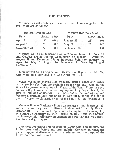#### THE PLANETS

Mercury is most easily seen near the time of an elongation. In 1951 these arc as follows:—

|                  |                       | Eastern (Evening Star) |        | Western (Morning Star) |          |             |        |  |  |
|------------------|-----------------------|------------------------|--------|------------------------|----------|-------------|--------|--|--|
| Date.            |                       | Elong.                 | Mag.   | Date.                  |          | Elong. Mag. |        |  |  |
| April 5 $\ldots$ | $\dddot{\phantom{0}}$ | 19°                    | $+0.1$ | January 23             | $\cdots$ | $25^\circ$  | 0.0    |  |  |
| August 3         | $\cdots$              | 27                     | $+0.6$ | May <sub>22</sub>      | 1.11     | 25          | $+0.7$ |  |  |
| November 28      |                       | 22                     | $-0.1$ | September 16           |          | 18          | 0.0    |  |  |

Mercury will be at Superior Conjunction on March 11, June 25 and October 13: at Inferior Conjunction on January 1, April 25, August 31 and December 17; at Stationary Points on January 12, April 14, May 7, August 16, September 9, December 7 and December 27.

Mercury will be in Conjunction with Venus on September 12d. 15h; with Mars on March 26d. 11h. and April 19d. 10h.

Venus will be an evening star gradually getting higher and higher in the evening sky from the beginning of the year until June 25, the time of its greatest elongation of 45° east of the Sun. From then on, Venus will get lower in the evening sky until by September 3, the time of Inferior Conjunction, it will pass out of the evening sky and become a morning star, remaining as such till after the end of the year. Its greatest elongation west of the Sun is 47° on November 14

Venus will be at Stationary Points on August 11 and September 23 and will attain its greatest brilliance of about  $-4.3$  on July 29 and October 10. It will be in Conjunction with Jupiter on February 11, with Mars on February 16, with Regulus on July 7 and with Saturn on November 21. All these conjunctions are close with the two objects less than a degree apart.

The most interesting time to examine Venus with a small telescope is for some weeks before and after Inferior Conjunction when the planet's apparent diameter is at its maximum and the cusps of the bright portion most distinct.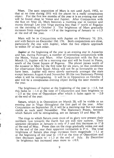Mars. The next opposition of Mars is not until April, 1952, so that at no time during 1951 will the planet be a really conspicuous object. For the first few months of the year it is an evening star and will be found close to Venus and Jupiter. After Conjunction with the Sun on May 22, Mars becomes a morning star in Gemini and moves through Leo into Virgo passing less than 1° north of Regulus on the morning of October 3. The brightness of Mars gradually increases from magnitude  $+1.9$  at the beginning of January to  $+1.\overline{3}$ at the end of the year.

Mars will be in Conjunction with Jupiter on February 7d. 21h. and with Saturn on December 19d. 15h. Both conjunctions are close, particularly the one with Jupiter, when the two objects approach to within 10' of each other.

Jupiter at the beginning of the year is an evening star in Aquarius and has, during February, a number of interesting conjunctions with the Moon, Venus and Mars. After Conjunction with the Sun oh March 11, Jupiter will be a morning star and will be found in Pisces, south of the Great Square of Pegasus. The planet passes north of the equator in May for the first time for six years, so that conditions for observation from South Africa will not be as favourable as they have been. Jupiter will move slowly eastwards amongst the stars except between August 4 and November 30 (the two Stationary Points) when it will be retrograding. It will be in Opposition on October 3 and will be a conspicuous evening object during the later months of the year.

The brightness of Jupiter at the beginning of the year is  $-1.8$ , but this fades to  $-1.6$  at the time of Conjunction and then brightens to  $-2.5$  at the time of Opposition after which it fades again to  $-2.0$ at the end of the year.

Saturn, which is in Opposition on March 20, will be visible as an evening star in Virgo throughout the first part of the year. After Conjunction on September 29, it will be a morning star but not easily visible as such until November. The Stationary Points, between which Saturn will be retrograding, are on January 13 and May 30.

The rings to which Saturn owes most of its glory now present their northern face towards the Earth but are still very narrow. Their apparent elevation in January is only 4°.3 and this decreases to 1°.0 at the end of May. From then on the rings gradually widen out and by the end of the year their apparent inclination is 9°.6. The total brightness of Saturn plus rings increases from magnitude  $+1.1$  at at the beginning of the year to  $\div 0.9$  at the time of Opposition and then decreases again to  $+1.3$  at the end of July. By December he brightness has increased once more to  $+0.9$ .

9

!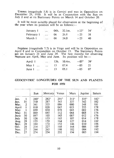Uranus (magnitude 5.8) is in Gemini and was in Opposition on December 29, 1950. It will be in Conjunction with the Sun on July 2 and at its Stationary Points on March 14 and October 20.

It will be most suitably placed for observation at the beginning of the year when its position will be as follows:—

| January 1  | $\cdots$ |    | 06h. 32.1m. | $+23^\circ$ | 34' |
|------------|----------|----|-------------|-------------|-----|
| February 1 | $\cdots$ | 06 | 26.8        | $+23$       | 38  |
| March 1    | $\cdots$ | 06 | 24.0        | $+23$       | 40. |

Neptune (magnitude 7.7) is in Virgo and will be in Opposition on April 8 and in Conjunction on October 13. The Stationary Points are on January 21 and June 29. The best months for observing Neptune arc April, May and June. Its position will be:—

| April 1        | $\cdots$                 |     | $13h.$ 10.4m. | $-05^{\circ}$ 39 |     |
|----------------|--------------------------|-----|---------------|------------------|-----|
| May $1 \ldots$ | <b>Contract Contract</b> | 13. | 07.4          | $-05$ 21         |     |
| June 1         |                          | 13. | -05.1         | $-0.5$           | -07 |

## GEOCENTRIC LONGITUDES OF THE SUN AND PLANETS FOR 1951

|       |    | Sun         | Mercury     | Venus       | Mars        | Jupiter     | Saturn      |
|-------|----|-------------|-------------|-------------|-------------|-------------|-------------|
| Jan.  |    | $280^\circ$ | $282^\circ$ | $291^\circ$ | $313^\circ$ | $335^\circ$ | $182^\circ$ |
| Jan.  | 31 | 310         | 287         | 343         | 337         | 342         | 182         |
| Маг.  | 2  | 341         | 333         | 006         | 000         | 348         | 181         |
| April |    | 010         | 028         | 043         | 023         | 355         | 178         |
| May   |    | 039         | 030         | 078         | 045         | 002         | 176         |
| May   | 31 | 069         | 045         | 112         | 064         | 008         | 176         |
| June  | 30 | 097         | 103         | 143         | 087         | 012         | 176         |
| July  | 30 | 126         | 153         | 165         | 107         | 014         | 178         |
| Aug.  | 29 | 155         | 159         | 164         | 127         | 014         | 182         |
| Sept. | 28 | 184         | 172         | 152         | 146         | 010         | 186         |
| Oct.  | 28 | 214         | 227         | 168         | 164         | 006         | 189         |
| Nov.  | 27 | 244         | 265         | 198         | 182         | 004         | 192         |
| Dec.  | 27 | 274         | 254         | 232         | 194         | 005         | 194         |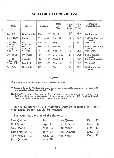## <span id="page-12-0"></span>METEOR CALENDER, 1951

| Date                                  | Shower                | Radiant                        | Date<br>of<br>Max. | Rate<br>٥f<br>Max. | Time<br>of<br>Transit | Physical<br><b>Characteristics</b> |
|---------------------------------------|-----------------------|--------------------------------|--------------------|--------------------|-----------------------|------------------------------------|
| Jan. 2-3                              | <b>Quadrantids</b>    | $230^{\circ} - 52^{\circ}$     | Jan.3              | per hr.<br>40      | h.<br>08.5            | Medium speed.                      |
| April 20-22                           | Lyrids                | $271^{\circ}$<br>$+33^{\circ}$ | April 21           | $12^{12}$          | 04.0                  | Swift and leaving<br>streaks.      |
| April 28-                             | Eta                   | $336^\circ$<br>$-1^\circ$      | May 5              | 10                 | 51.0                  | Very swift.                        |
| <b>May 16</b><br>$july 22-$<br>Aug. 9 | Aquarids*<br>Delta    | $340^{\circ} - 17^{\circ}$     | July 28            | 20                 | 02.0                  | Slow with long                     |
| Aug. $4-16$                           | Aquarids<br>Perseids  | $44^{\circ} + 52^{\circ}$      | Aug. 12            | 50                 | 05.6                  | naths.<br>Very swift.              |
| Oct. 15-25                            | Orionids <sup>+</sup> | $+15^\circ$<br>$96^\circ$      | Oct. 19-20         | 20                 | 04.4                  | Swift, leaving                     |
| $Oct. 26-$<br>Nov. 22                 | Taurids               | $55^\circ$<br>$+15^{\circ}$    | Nov. 3-10          | 6                  | 00.6                  | streaks.<br>Slow and bright.       |
| Nov. 15-20                            | Leonidss              | $152^\circ$<br>$+22^{\circ}$   | Nov. 16            | 6                  | 06.5                  | Very swift.                        |
| Dec. 9-14                             | Geminids              | $113^\circ$<br>$+32^{\circ}$   | Dec. 12            | 30                 | 02.0                  | Medium speed<br>white.             |

#### NOTES

♦Moving in practically same orbit as Holley's Comet.

- tAccording to J. P. M. Prentice this shower has a probable period of 16 years with an expected return during 1951-1955.
- §Period of 33 years. Next return 1965, but every year a couple of meteors are seen. Brilliant displays of thousands of meteors were seen in 1799. 1833 and 1866, but returns of 1899 and 1932 were disappointing.

During December 4-12 a promising southern radiant (115<sup>o</sup>—46<sup>o</sup>) near Sigma Puppis should be watched.

The Moon at the time of the showers:—

X

| Last Ouarter  | $\sim$    | Jan. $1$          | <b>Last Quarter</b>  | Oct. 22          |     |
|---------------|-----------|-------------------|----------------------|------------------|-----|
| Full Moon     | $\ddotsc$ | $\ldots$ April 21 | <b>First Quarter</b> | $\ldots$ Nov.    | - 6 |
| New Moon      | $\cdots$  | $\ldots$ May 6    | Full Moon            | $\ldots$ Nov. 13 |     |
| Last Ouarter  | $\sim$    | $\ldots$ July 25  | First Quarter        | $\ldots$ Dec. 5  |     |
| New Moon      | $\sim$    | $\ldots$ Aug. 2   | Full Moon            | Dec. 13          |     |
| First Quarter |           | Aug. $10$         |                      |                  |     |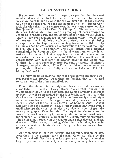<span id="page-13-0"></span>If you want to find a house in a large town you first find the street in which it is and then look for the particular number. In the same way if you want to find a star in the sky you first find the constellation to which it belongs and then the star number or letter. Streets rarely look like what their name suggests (who has ever seen a street looking like Queen Victoria or like Oom Paul Kruger?) The same is true of the constellations which are arbitrary groupings of stars arranged to enable us to specify easily the star or stars about which we are talking. Many of the constellations are of very ancient origin, though most of those near the South Pole are of comparatively recent origin, being arranged either by Bayer when compiling his atlas in 1603, or by La Caille when he was reducing the observations he made at the Cape in 1751 and 1752. The Southern Cross was formed into a separate constellation by Royer in 1679. In the nineteen-twenties, the International Astronomical Union appointed a special commission to rationalise the whole system of constellations. The result was 88 constellations with rectilinear boundaries covering the whole sky. Of these 88, 48 have come down from Ptolemy, or before. (Ptolemy's Almagest, compiled about 137 A.D. is the oldest star catalogue we possess, the still older one of Hipparchus compiled about 129 B.C. having been lost.)

The following notes describe four of the best known and most easily recognisable star groups. Once these are familiar, they can be used to locate most of the other constellations.

Orion, the Hunter, is the brightest, best-loved and best-known constellation in the sky. Lying athwart the celestial equator it is visible all over the world and dominates the evening sky from November to May. It will be recognised by the four bright stars that mark the shoulders and knees of the giant and by the three evenly spaced bright stars that form his belt. The dagger is marked by three or four feinter stars just south of the belt which form a line pointing south. About half way along the dagger is Theta, a rather diffuse star which even a small telescope shows as surrounded by a glowing cloud of gas—the much photographed Orion Nebula. The bright blue star in the southwest corner (or knee) is Rigel, the orange star in the north-east corner (or shoulder) is Betelgeuse, a giant star of slightly varying brightness. The belt is almost exactly on the equator and so rises due east and sets due west. When rising or setting, Orion lies on his side, but as he crosses the meridian, he stands erect, though on his head as seen from South Africa.

As Orion sinks in the west, Scorpio, the Scorpion, rises in the east. According to the ancient fables, the giant Orion was slain by the Scorpion and still flies the sky at its appearance. Scorpio is another large bright constellation and, what is more, actually bears some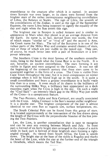resemblance to the creature after which it is named. In ancient times Scorpio was even larger, as its claws were formed from the brighter stars of the rather inconspicuous neighbouring constellation of Libra, the Balance or Scales. The sign of Libra, the seventh of the constellations of the Zodiac, is used as the sign of the September Equinox, the name Libra being supposed to signify the equality of the day and night when the Sun enters this sign.

The brightest star in Scorpio is called Antares and is similar in appearance to Mars when that planet is at an average distance from the Earth. Its name is, in fact, derived from two words, the first of which means "similar to" or "rival of" and the second is Ares, the Greek name for Mars. The tail of the Scorpion is in one of the richest parts of the Milky Way and contains several clusters of stars, two or three of which are just visible to the naked eye. They can, of course, be much better seen with a pair of binoculars or a lowpower telescope.

The Southern Cross is the most famous of the southern constellations, being to the South what the Great Bear is to the North. It is not, however, an ancient constellation. The stars forming it arc visible in Egypt and were assigned to the Centaur. It was not till the beginning of the sixteenth century that these stars came to be associated together in the form of a cross. The Cross is visible from Cape Town throughout the year, but it is most conspicuous on winter evenings when it will be found high up in the south. It is quite a small constellation and bears a greater resemblance to a badly made kite than to a cross. It owes much of its charm to the brilliancy of the surrounding Milky Way, a brilliancy best appreciated on a dark moonless night when the Cross is high in the sky. On such a night the "Coal Sack"—an intensely black gap in the Milky Way just south of the Cross;—is a conspicuous feature.

The Two Pointers, Alpha and Beta Centauri, are usually associated with the Cross. Alpha Centauri is the Sun's nearest stellar neighbour It is a double star. The brighter component of the pair is almost identical to our own Sun as regards size, surface temperature, etc.

'The South Celestial Pole can be found from this group of stars. It is located approximately at the intersection of the line drawn along the length of the Cross with the perpendicular bisector of the line joining the Two Pointers.

Leo, the Lion, is another constellation that is easy to recognise and can be seen any evening between March and July. Its front part is formed of six fairly bright stars arranged in the shape of a sickle while its back part is formed of three brightish stars forming a rightangled triangle. As viewed from South Africa, the Lion is upside down. The bright star at the base of the sickle is Regulus and marks the heart of the Lion, while the star at the further end of the triangle is Denebola, which means the Tail Star.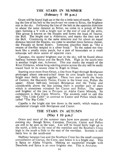## THE STARS IN SUMMER (February 1 10 p.m.)

Orion will be found high up in the sky a little west of north. Following the line of his belt to the south-east we come to Sirius, the brightest star in the sky. Following the line of the belt in the opposite direction to about the same distance as Sirius, we come to a group of faint stars forming a V with a bright star at the end of one of the arms, This group is known as the Hyades and forms the head of Taurus, the Bull. The bright star is Aldebaran, and marks the fiery eye of the Bull. Continuing in the same direction and for about an equal distance beyond the Hyades, we come to another more famous cluster, the Pleiades or Seven Sisters. Tennyson describes them as "like a swarm of fire-flies tangled in a silver braid." To the naked eye they look like a smally misty patch, but a pair of binoculars or a small telescope will show scores of separate stars.

Canopus, the second brightest star in the sky, will be found about halfway between Sirius and the South Pole. High in the south-west is another bright star, Achernar. This star marks the mouth of the River Eridanus, whose long winding course across the sky will be easily traced back to its source close to Rigel in Orion.

Starting once more from Orion, a line from Rigel through Betelgeuse prolonged about one-and-a-half times its own length leads to two bright stars fairly close together. These two stars mark the heads of Gemini, the Heavenly Twins; Castor is the lower one, Pollux the upper. About half-way between Betelgeuse and the Twins and considerably above the line joining them is another pair of stars which is sometimes mistaken for Castor and Pollux. The upper and brighter of the two is Prccyon or Alpha Canis Minoris. Its companion is Beta Canis Minoris. The ancients used to call this pair "The Little Cubit" in contrast to Castor and Pollux which they called "The Big Cubit."

Capella is the bright star low down in the north, which makes an equilateral triangle with Betelgeuse and Castor.

## THE STARS IN AUTUMN (May 1 10 p.m.)'

Orion and most of the summer stars have now passed out of the evening sky, though Sirius, Canopus, Procyon, Castor and Pollux are still to be seen in the west. Leo will be found fairly high up in the north, a little to the west of the meridian and the Southern Cross high in the south a little to the east of the meridian. Scorpio is still fairly low in the south-east.

Halfway between Leo and the Southern Cross lies the small compact instellation of Corvus, the Crow, and below it is a bright star. This constellation of Corvus, the Crow, and below it is a bright star. is Spica or Alpha Virginis. Making an equatorial triangle with Dencbola and Spica is an even brighter star. This is Arcturus.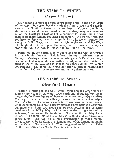### THE STARS IN WINTER

#### (August 1 !0 p.m.)

On a moonless night the most conspicuous object is the bright arch of the Milky Way spanning the whole sky from Cygnus in the northeast to the Southern Cross in the south-east. Cygnus, the Swan, the constellation at the north-east end of the Milky Way, is sometimes called the Northern Cross and it is certainly far more like a cross than is its more famous southern counterpart. As viewed from the southern hemisphere, the cross is upside down, its longer member lice along the Milky Way, its cross arm at right angles to the Milky Ways The bright star at the top of the cross, that is lowest in the sky as seen from South Africa, is Deneb, the Tail Star of the Swan.

Fairly low in the north, slightly above and to the west of Cygnus is a very bright blue star. This is Vega, the fourth brightest star in the sky. Making an almost equilateral triangle with Deneb and Vega is another first magnitude star—Altair or Alpha Aquilae. Altair is right in the Milky Way and is flanked on either side by two fainter companions. The three stars together bear a certain resemblance to the Belt of Orion, or to Antares and its two flanking stars.

## THE STARS IN SPRING

#### (November I 10 p.m.)

Scorpio is setting in the west, while Orion and the other stars of summer are rising in the west. Due north and about halfway up to the zenith, the Great Square of Pegasus is sprawled across the meridian. The bright star almost immediately overhead is Fomalhaut or Alpha Piscus Australis. Canopus is visible fairly low down in the south-east, while Achernar is just about halfway between Fomalhaut and Canopus. On moonless nights two cloud-like objects, looking like detached portions of the Milky Way, will be seen in the triangle formed by Achernar, Canopus and the South Pole. These are the two Magellanic Clouds. The larger cloud lies in Mensa, a faint and inconspicuous constellation. The full title of this constellation is Mons Mensa. It was so named by La Caille in 1752 in honour of the famous mountain at the Cape. The Magellanic Cloud suggested to him the "Table Cloth" that forms over Table Mountain in summer.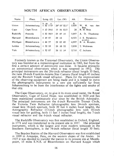| Name.     | Place.       | Long. $(E)$         | Lat. $(W)$    | Alt.        | Director                        |
|-----------|--------------|---------------------|---------------|-------------|---------------------------------|
| Union     | Johannesburg | h. m. s.<br>52 17.9 | 26° 10' 52.1" | n.<br>5.858 | Н.<br>W.<br>van<br>den.<br>Bos. |
| Cape      | Cape Town    | 1 13 54.6           | 33 56 02.5    | 26          | R. H. Stov.                     |
| Radcliffe | Pretoria     | 1.52.54.9           | 25 47 18      | 5,057       | A. D. Thackeray                 |
| Harvard   | Bloemfontein | 1 45 57             | 29 12         | 4,523       | J. S. Paraskevo-                |
| Michigan  | Bloemfontein | 1 44 57             | 29 05 45      | 4.887       | poulos,<br>R. A. Rossiter.      |
| Leiden    | Johannesburg | 15218               | 26 10 52      | 5,858       | T. Walraven.                    |
| Yale      | Johannesburg | 1.52 07             | 26 11<br>14   | 5.710       | C. Jackson.                     |

## SOUTH AFRICAN OBSERVATORIES

Formerly known as the Transvaal Observatory, the Union Observatory was founded as a meteorological institution in 1903, but from the first a certain amount of astronomy was done. It became primarily an astronomical observatory when it was renamed in 1912. The principal instruments are the 26T-inch refractor (focal length 35 feet), the twin 10-inch Franklin-Adams Star Camera (focal length 45 inches) and the Reunert 9-inch visual refractor. Plans for the improvement of the observing equipment are being made and it is hoped to move the photographic instruments to a new site sufficiently far from Johannesburg to be from the interference of the lights and smoke of that city.

The Cape Observatory, or, to give it its more usual name, the Royal Observatory, Cape of Good Hope, was established in 1820 and has been maintained continuously ever since by the British Admiralty. The principal instruments are the 6-inch Reversible Transit Circle, the Victoria Twin Refractor (photographic lens 24-inch aperture, visual lens 18-inch aperture, both 22 feet 6 inches focal length), the Astrographic Refractor (13-inch photographic lens with 10-inch visual lens for guiding, both 11 feet 3 inches focal length), the 7-inch visual refractor and the 6-inch visual refractor.

The Radcliffe Observatory was first established in Oxford, England, in 1771 and was transferred to its present site in 1937. The principal instrument, which is the largest and most modern telescope in the Southern Hemisphere, is the 74-inch reflector (focal length 30 feet).

The Boyden Station of the Harvard Observatory was first established in 1889 in Arequipa, Peru, on the western slopes of the Andes. In 1927 it was decided to transfer the station to its present site at Mazelspoort, 15 miles E.N.E. of Bloemfontein on Harvard Kopjie which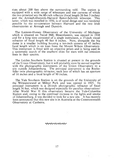rises about 200 feet above the surrounding veld. The station is equipped with a wide range of telescopes and star cameras of which the two principal arc the 60-inch reflector (focal length 26 feet 3 inches)<br>and the Armagh-Dunsink-Harvard Baker-Schmidt telescone. This and the Armagh-Dunsink-Harvard Baker-Schmidt telescope. latter, which was installed in 1950, is of novel design and was rendered possible by the co-operation between Harvard and the two Irish observatories at Armagh and Dunsink.

The Lamont-Hussey Observatory of the University of Michigan which is situated on Naval Hill, Bloemfontein, was opened in 1928 and for a long time consisted of a single instrument, a 27-inch visual refractor of focal length 40 feet 6 inches. Now, alongside the big dome is a smaller building housing a ten-inch camera of 45 inches focal length which is on loan from the Mount Wilson Observatory. This instrument is fitted with an objective prism and is being used in a systematic search of the southern skies for stars with red emission lines in their spectra.

The Leiden Southern Station is situated at present in the grounds of the Union Observatory, but it will probably soon be moved together with the photographic instruments of the Union Observatory to a site outside Johannesburg. The principal instrument is the Rockefeller twin photographic refractor, each lens of which has an aperture of 16 inches and a local length of 90 inches.

The Yale Southern Station is on the grounds of the University of the Witwatersrand at Milner Park and was opened in 1925. Its principal instrument is a 26-inch photographic refractor of focal length 36 feet, which was designed especially for parallax observations<sup>-</sup> After World War II this observatory became the Yale-Columbia Station and, owing to the continual increase in the lights and smoke of Johannesburg, it was decided to look for a new site. It has recently been announced that this new site is in Australia at the Commonwealth Observatory at Canberra.

vwwwwv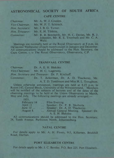## ASTRONOMICAL SOCIETY OF SOUTH AFRICA

#### CAPE CENTRE

| Chairman:       | Mr. A. W. J. Cousins.                                                                                   |
|-----------------|---------------------------------------------------------------------------------------------------------|
| Vice-Chairman:  | Mr. W. F. T. Schirach.                                                                                  |
| Hon. Secretary: | Mr. J. B. G. Turner.                                                                                    |
|                 | Hon. Treasurer: Mr. E. H. Tibbitts.                                                                     |
| Committee:      | Mr. R. B. Borcherds, Mr. H. C. Davies, Mr. R. J.<br>Johnston, Mr. R. E. Trembath and Mr. C. A.<br>Wahl. |

Meetings are normally held at the Royal Observatory at 8 p.m. on the second Wednesday of each month except in January and December. All communications should be addressed to the Hon. Secretary, the Cape Centre, c/o The Royal Observatory, Observatory, C.P.

#### TRANSVAAL CENTRE

| Chairman:      | Dr. A. E. H. Bleksley.                         |
|----------------|------------------------------------------------|
| Vice-Chairman: | Mr. H. C. Lagerweij.                           |
|                | Hon. Secretary and Treasurer: Dr. P. Kirchoff. |
| Committee:     | Dr. T. Ackerman, Dr. A. D. Thackeray, Mr.      |
|                | A. T. D. Tomlinson and Miss H. L. Troughton.   |

Unless otherwise announced, meetings are held at 8.15 p.m. in Room 142, Central Block, University of the Witwatersrand. Members will be notified of the subjects of lectures and of the dates of the observing meetings to be held at the Union Observatory in March, May and July. The following meetings are already arranged:—

| 1951.       |                |                                      |
|-------------|----------------|--------------------------------------|
| February 14 | $\sim$         | Film Evening.                        |
| April 11    | $\overline{a}$ | Speaker: Dr. P. R. Skoberla.         |
| June $13$   | $\cdots$       | Speaker: Dr. A. D. Thackeray.        |
| August 8    | 1.11           | Annual General Meeting. Speaker: Dr. |
|             |                | A. E. H. Bleksley.                   |

All communications should be addressed to the Hon. Secretary 24, Tenth Avenue, Parktown North, Johannesburg.

#### NATAL CENTRE

For details apply to Mr. A. H. Finnis, 913, Killarney, Brickhill Road, Durban.

#### PORT ELIZABETH CENTRE

For details apply to Mr. J. C. Bentley, P.O. Box 225, Port Elizabeth.